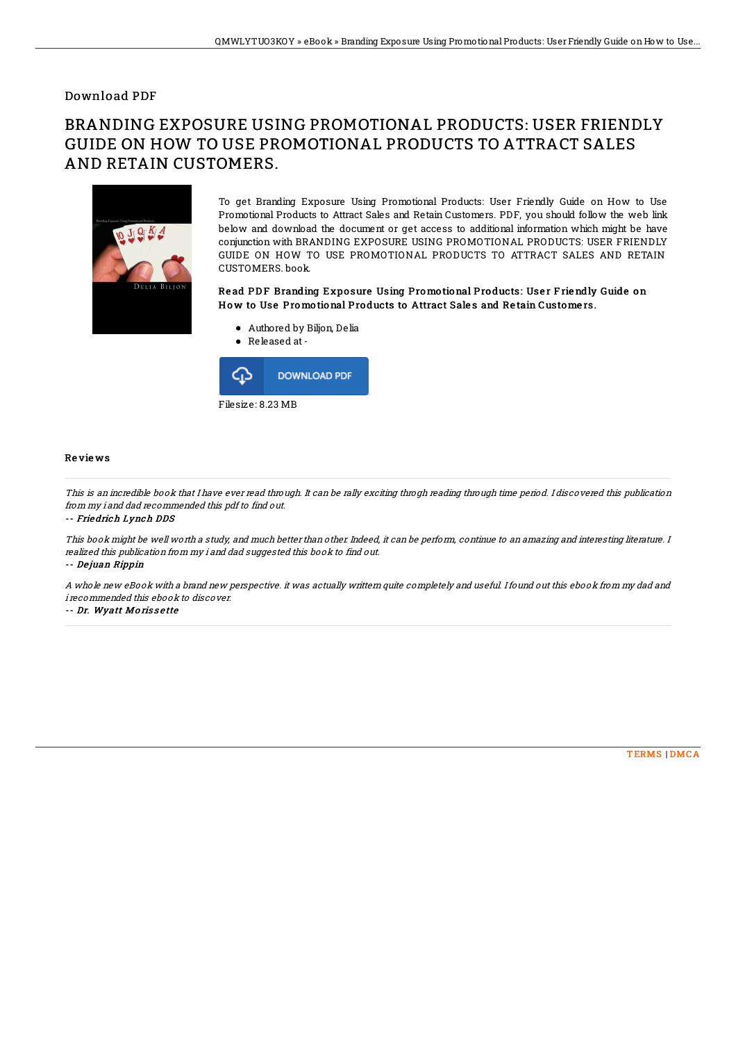## Download PDF

## BRANDING EXPOSURE USING PROMOTIONAL PRODUCTS: USER FRIENDLY GUIDE ON HOW TO USE PROMOTIONAL PRODUCTS TO ATTRACT SALES AND RETAIN CUSTOMERS.



To get Branding Exposure Using Promotional Products: User Friendly Guide on How to Use Promotional Products to Attract Sales and Retain Customers. PDF, you should follow the web link below and download the document or get access to additional information which might be have conjunction with BRANDING EXPOSURE USING PROMOTIONAL PRODUCTS: USER FRIENDLY GUIDE ON HOW TO USE PROMOTIONAL PRODUCTS TO ATTRACT SALES AND RETAIN CUSTOMERS. book.

## Read PDF Branding Exposure Using Promotional Products: User Friendly Guide on How to Use Promotional Products to Attract Sales and Retain Customers.

Authored by Biljon, Delia



Filesize: 8.23 MB

Re vie ws

This is an incredible book that I have ever read through. It can be rally exciting throgh reading through time period. I discovered this publication from my i and dad recommended this pdf to find out.

-- Friedrich Lynch DDS

This book might be well worth a study, and much better than other. Indeed, it can be perform, continue to an amazing and interesting literature. I realized this publication from my i and dad suggested this book to find out.

-- De juan Rippin

A whole new eBook with <sup>a</sup> brand new perspective. it was actually writtern quite completely and useful. Ifound out this ebook from my dad and i recommended this ebook to discover.

-- Dr. Wyatt Morissette